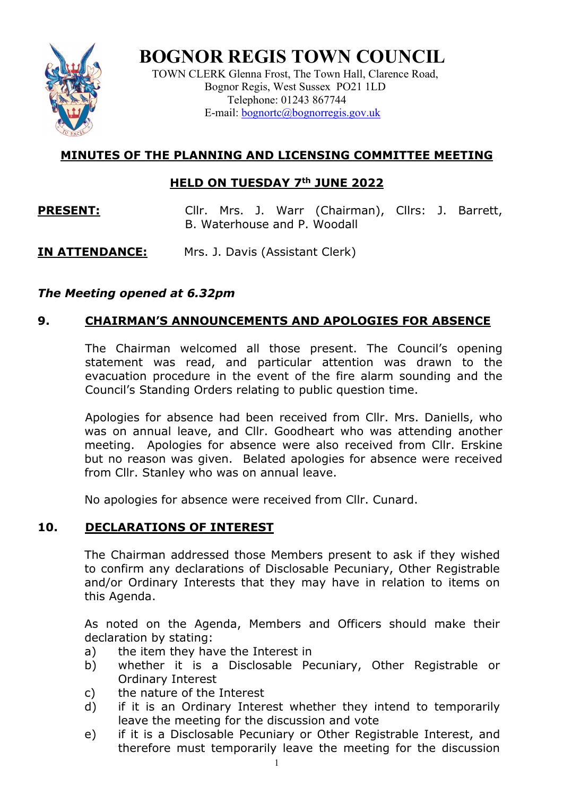

**BOGNOR REGIS TOWN COUNCIL**

TOWN CLERK Glenna Frost, The Town Hall, Clarence Road, Bognor Regis, West Sussex PO21 1LD Telephone: 01243 867744 E-mail: <u>bognortc@bognorregis.gov.uk</u>

# **MINUTES OF THE PLANNING AND LICENSING COMMITTEE MEETING**

## **HELD ON TUESDAY 7th JUNE 2022**

**PRESENT:** Cllr. Mrs. J. Warr (Chairman), Cllrs: J. Barrett, B. Waterhouse and P. Woodall

# **IN ATTENDANCE:** Mrs. J. Davis (Assistant Clerk)

# *The Meeting opened at 6.32pm*

# **9. CHAIRMAN'S ANNOUNCEMENTS AND APOLOGIES FOR ABSENCE**

The Chairman welcomed all those present. The Council's opening statement was read, and particular attention was drawn to the evacuation procedure in the event of the fire alarm sounding and the Council's Standing Orders relating to public question time.

Apologies for absence had been received from Cllr. Mrs. Daniells, who was on annual leave, and Cllr. Goodheart who was attending another meeting. Apologies for absence were also received from Cllr. Erskine but no reason was given. Belated apologies for absence were received from Cllr. Stanley who was on annual leave.

No apologies for absence were received from Cllr. Cunard.

### **10. DECLARATIONS OF INTEREST**

The Chairman addressed those Members present to ask if they wished to confirm any declarations of Disclosable Pecuniary, Other Registrable and/or Ordinary Interests that they may have in relation to items on this Agenda.

As noted on the Agenda, Members and Officers should make their declaration by stating:

- a) the item they have the Interest in
- b) whether it is a Disclosable Pecuniary, Other Registrable or Ordinary Interest
- c) the nature of the Interest
- d) if it is an Ordinary Interest whether they intend to temporarily leave the meeting for the discussion and vote
- e) if it is a Disclosable Pecuniary or Other Registrable Interest, and therefore must temporarily leave the meeting for the discussion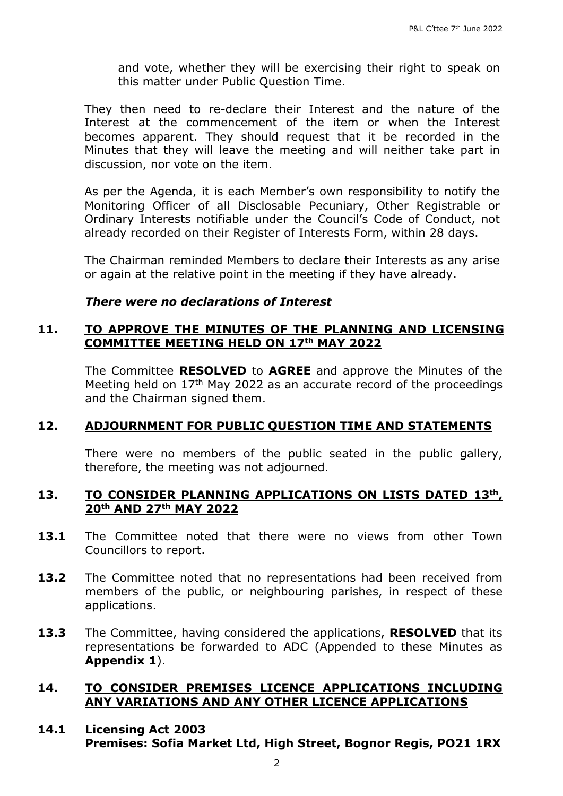and vote, whether they will be exercising their right to speak on this matter under Public Question Time.

They then need to re-declare their Interest and the nature of the Interest at the commencement of the item or when the Interest becomes apparent. They should request that it be recorded in the Minutes that they will leave the meeting and will neither take part in discussion, nor vote on the item.

As per the Agenda, it is each Member's own responsibility to notify the Monitoring Officer of all Disclosable Pecuniary, Other Registrable or Ordinary Interests notifiable under the Council's Code of Conduct, not already recorded on their Register of Interests Form, within 28 days.

The Chairman reminded Members to declare their Interests as any arise or again at the relative point in the meeting if they have already.

#### *There were no declarations of Interest*

#### **11. TO APPROVE THE MINUTES OF THE PLANNING AND LICENSING COMMITTEE MEETING HELD ON 17th MAY 2022**

The Committee **RESOLVED** to **AGREE** and approve the Minutes of the Meeting held on  $17<sup>th</sup>$  May 2022 as an accurate record of the proceedings and the Chairman signed them.

### **12. ADJOURNMENT FOR PUBLIC QUESTION TIME AND STATEMENTS**

There were no members of the public seated in the public gallery, therefore, the meeting was not adjourned.

### **13. TO CONSIDER PLANNING APPLICATIONS ON LISTS DATED 13th, 20th AND 27th MAY 2022**

- **13.1** The Committee noted that there were no views from other Town Councillors to report.
- **13.2** The Committee noted that no representations had been received from members of the public, or neighbouring parishes, in respect of these applications.
- **13.3** The Committee, having considered the applications, **RESOLVED** that its representations be forwarded to ADC (Appended to these Minutes as **Appendix 1**).

### **14. TO CONSIDER PREMISES LICENCE APPLICATIONS INCLUDING ANY VARIATIONS AND ANY OTHER LICENCE APPLICATIONS**

#### **14.1 Licensing Act 2003 Premises: Sofia Market Ltd, High Street, Bognor Regis, PO21 1RX**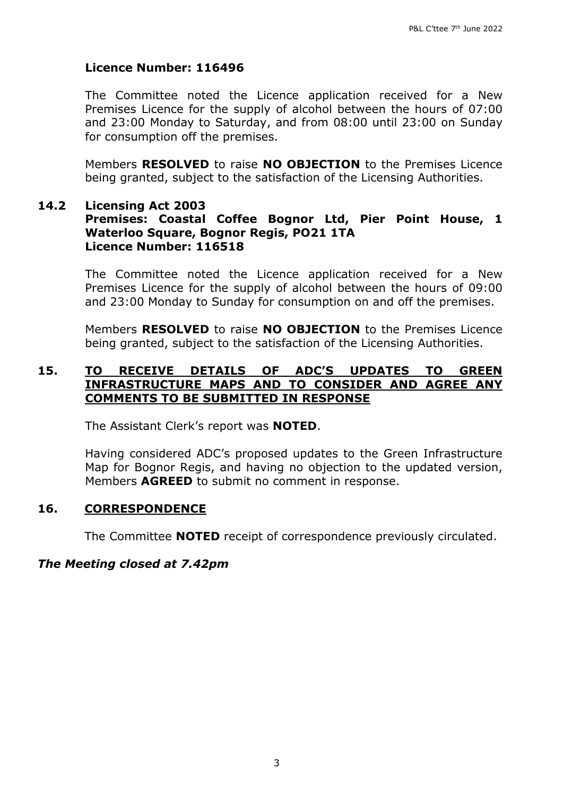### **Licence Number: 116496**

The Committee noted the Licence application received for a New Premises Licence for the supply of alcohol between the hours of 07:00 and 23:00 Monday to Saturday, and from 08:00 until 23:00 on Sunday for consumption off the premises.

Members **RESOLVED** to raise **NO OBJECTION** to the Premises Licence being granted, subject to the satisfaction of the Licensing Authorities.

#### **14.2 Licensing Act 2003 Premises: Coastal Coffee Bognor Ltd, Pier Point House, 1 Waterloo Square, Bognor Regis, PO21 1TA Licence Number: 116518**

The Committee noted the Licence application received for a New Premises Licence for the supply of alcohol between the hours of 09:00 and 23:00 Monday to Sunday for consumption on and off the premises.

Members **RESOLVED** to raise **NO OBJECTION** to the Premises Licence being granted, subject to the satisfaction of the Licensing Authorities.

### **15. TO RECEIVE DETAILS OF ADC'S UPDATES TO GREEN INFRASTRUCTURE MAPS AND TO CONSIDER AND AGREE ANY COMMENTS TO BE SUBMITTED IN RESPONSE**

The Assistant Clerk's report was **NOTED**.

Having considered ADC's proposed updates to the Green Infrastructure Map for Bognor Regis, and having no objection to the updated version, Members **AGREED** to submit no comment in response.

#### **16. CORRESPONDENCE**

The Committee **NOTED** receipt of correspondence previously circulated.

#### *The Meeting closed at 7.42pm*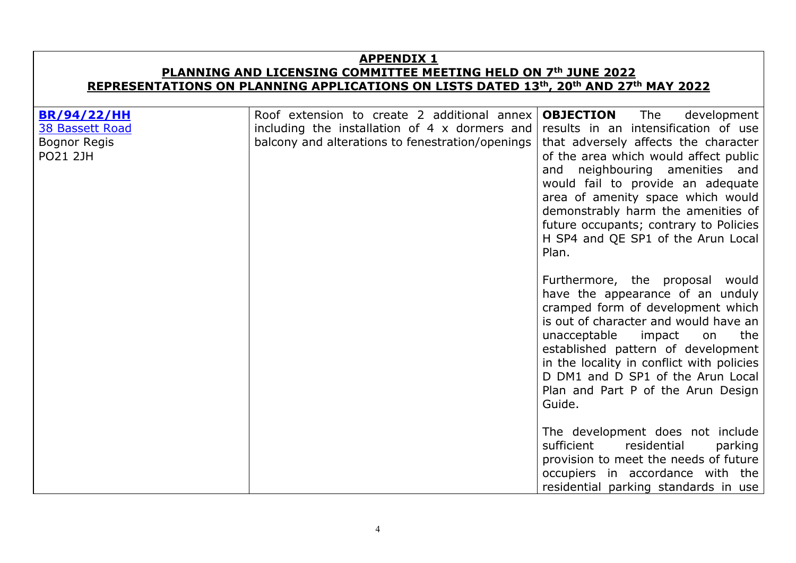**APPENDIX 1 PLANNING AND LICENSING COMMITTEE MEETING HELD ON 7th JUNE 2022 REPRESENTATIONS ON PLANNING APPLICATIONS ON LISTS DATED 13th, 20th AND 27th MAY 2022 [BR/94/22/HH](http://www1.arun.gov.uk/aplanning/OcellaWeb/planningDetails?reference=BR/94/22/HH)** [38 Bassett Road](https://www.google.com/maps/place/38+Bassett+Rd,+Bognor+Regis+PO21+2JH/@50.7832968,-0.6826404,3a,80.2y,89.47h,83.99t/data=!3m6!1e1!3m4!1s3zZAfpJXODO--iLYb_-PLg!2e0!7i16384!8i8192!4m5!3m4!1s0x4875ac5daf38117b:0x329651b19f67ed9b!8m2!3d50.7832946!4d-0.682415) Bognor Regis PO21 2JH Roof extension to create 2 additional annex including the installation of 4 x dormers and balcony and alterations to fenestration/openings **OBJECTION** The development results in an intensification of use that adversely affects the character of the area which would affect public and neighbouring amenities and would fail to provide an adequate area of amenity space which would demonstrably harm the amenities of future occupants; contrary to Policies H SP4 and QE SP1 of the Arun Local Plan. Furthermore, the proposal would have the appearance of an unduly cramped form of development which is out of character and would have an unacceptable impact on the established pattern of development in the locality in conflict with policies D DM1 and D SP1 of the Arun Local Plan and Part P of the Arun Design Guide. The development does not include sufficient residential parking provision to meet the needs of future occupiers in accordance with the residential parking standards in use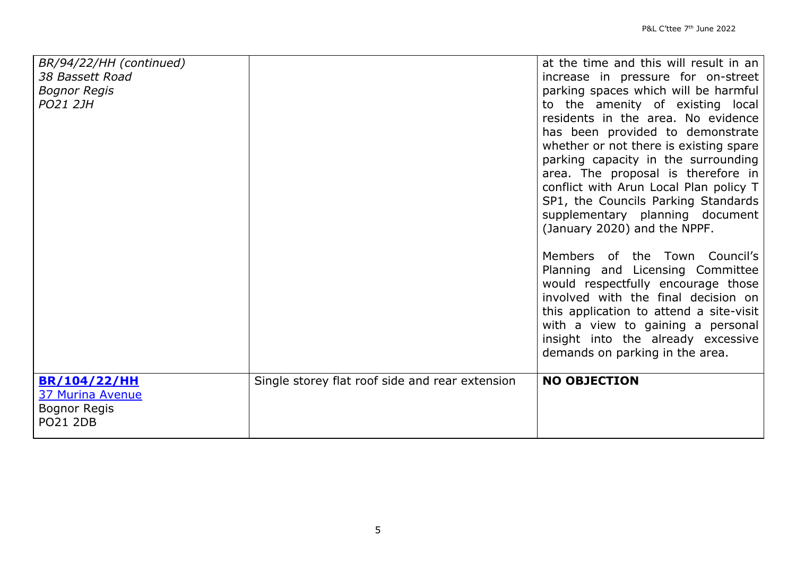| BR/94/22/HH (continued)<br>38 Bassett Road<br><b>Bognor Regis</b><br>PO21 2JH            |                                                 | at the time and this will result in an<br>increase in pressure for on-street<br>parking spaces which will be harmful<br>to the amenity of existing local<br>residents in the area. No evidence<br>has been provided to demonstrate<br>whether or not there is existing spare<br>parking capacity in the surrounding<br>area. The proposal is therefore in<br>conflict with Arun Local Plan policy T<br>SP1, the Councils Parking Standards<br>supplementary planning document<br>(January 2020) and the NPPF. |
|------------------------------------------------------------------------------------------|-------------------------------------------------|---------------------------------------------------------------------------------------------------------------------------------------------------------------------------------------------------------------------------------------------------------------------------------------------------------------------------------------------------------------------------------------------------------------------------------------------------------------------------------------------------------------|
|                                                                                          |                                                 | Members of the Town Council's<br>Planning and Licensing Committee<br>would respectfully encourage those<br>involved with the final decision on<br>this application to attend a site-visit<br>with a view to gaining a personal<br>insight into the already excessive<br>demands on parking in the area.                                                                                                                                                                                                       |
| <b>BR/104/22/HH</b><br><b>37 Murina Avenue</b><br><b>Bognor Regis</b><br><b>PO21 2DB</b> | Single storey flat roof side and rear extension | <b>NO OBJECTION</b>                                                                                                                                                                                                                                                                                                                                                                                                                                                                                           |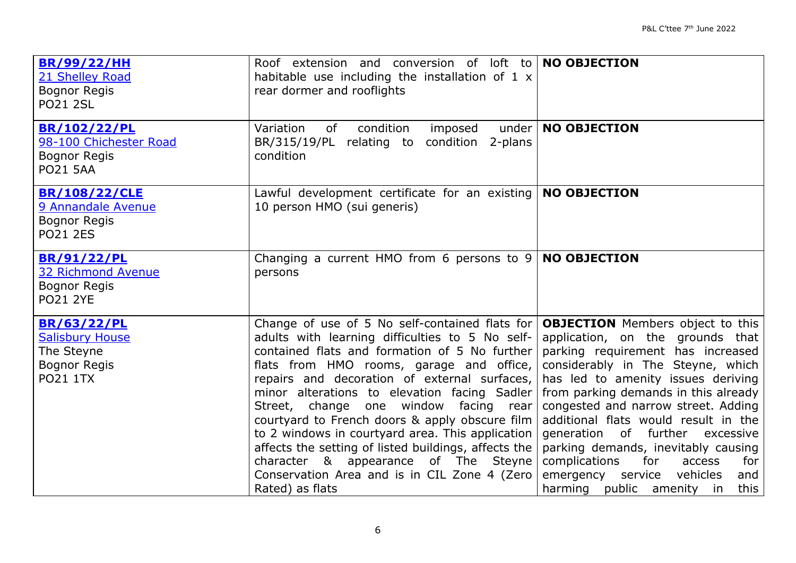| <b>BR/99/22/HH</b><br>21 Shelley Road<br><b>Bognor Regis</b><br><b>PO21 2SL</b>                      | Roof extension and conversion of loft to <b>NO OBJECTION</b><br>habitable use including the installation of $1 \times$<br>rear dormer and rooflights                                                                                                                                                                                                                                                                                                                                                                                                                                                                                                     |                                                                                                                                                                                                                                                                                                                                                                                                                                                                           |
|------------------------------------------------------------------------------------------------------|----------------------------------------------------------------------------------------------------------------------------------------------------------------------------------------------------------------------------------------------------------------------------------------------------------------------------------------------------------------------------------------------------------------------------------------------------------------------------------------------------------------------------------------------------------------------------------------------------------------------------------------------------------|---------------------------------------------------------------------------------------------------------------------------------------------------------------------------------------------------------------------------------------------------------------------------------------------------------------------------------------------------------------------------------------------------------------------------------------------------------------------------|
| BR/102/22/PL<br>98-100 Chichester Road<br><b>Bognor Regis</b><br><b>PO21 5AA</b>                     | condition<br>under<br>Variation<br>of<br>imposed<br>BR/315/19/PL relating to condition 2-plans<br>condition                                                                                                                                                                                                                                                                                                                                                                                                                                                                                                                                              | <b>NO OBJECTION</b>                                                                                                                                                                                                                                                                                                                                                                                                                                                       |
| <b>BR/108/22/CLE</b><br>9 Annandale Avenue<br><b>Bognor Regis</b><br><b>PO21 2ES</b>                 | Lawful development certificate for an existing<br>10 person HMO (sui generis)                                                                                                                                                                                                                                                                                                                                                                                                                                                                                                                                                                            | <b>NO OBJECTION</b>                                                                                                                                                                                                                                                                                                                                                                                                                                                       |
| <b>BR/91/22/PL</b><br><b>32 Richmond Avenue</b><br><b>Bognor Regis</b><br><b>PO21 2YE</b>            | Changing a current HMO from 6 persons to $9 \mid \text{NO }OBJECTION$<br>persons                                                                                                                                                                                                                                                                                                                                                                                                                                                                                                                                                                         |                                                                                                                                                                                                                                                                                                                                                                                                                                                                           |
| <b>BR/63/22/PL</b><br><b>Salisbury House</b><br>The Steyne<br><b>Bognor Regis</b><br><b>PO21 1TX</b> | Change of use of 5 No self-contained flats for <b>OBJECTION</b> Members object to this<br>adults with learning difficulties to 5 No self-<br>contained flats and formation of 5 No further<br>flats from HMO rooms, garage and office,<br>repairs and decoration of external surfaces,<br>minor alterations to elevation facing Sadler<br>Street, change one window facing rear<br>courtyard to French doors & apply obscure film<br>to 2 windows in courtyard area. This application<br>affects the setting of listed buildings, affects the<br>character & appearance of The Steyne<br>Conservation Area and is in CIL Zone 4 (Zero<br>Rated) as flats | application, on the grounds that<br>parking requirement has increased<br>considerably in The Steyne, which<br>has led to amenity issues deriving<br>from parking demands in this already<br>congested and narrow street. Adding<br>additional flats would result in the<br>generation of further excessive<br>parking demands, inevitably causing<br>complications<br>for<br>access<br>for l<br>vehicles<br>emergency service<br>and<br>harming public amenity in<br>this |